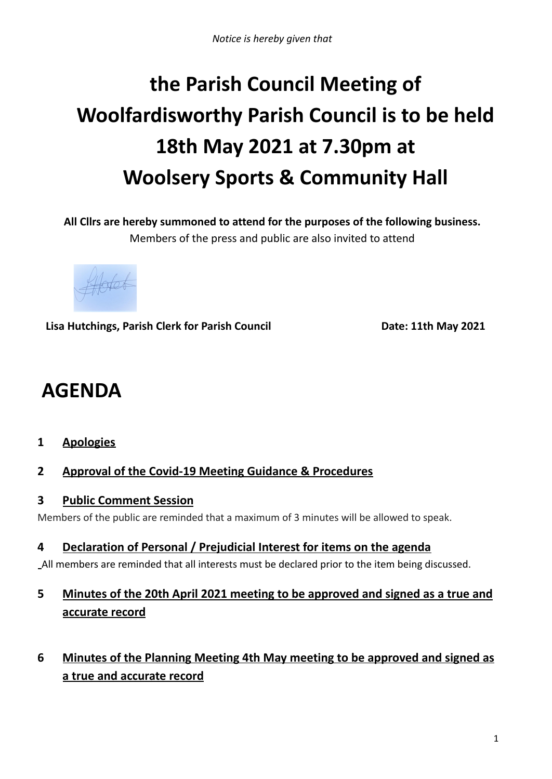# **the Parish Council Meeting of Woolfardisworthy Parish Council is to be held 18th May 2021 at 7.30pm at Woolsery Sports & Community Hall**

**All Cllrs are hereby summoned to attend for the purposes of the following business.** Members of the press and public are also invited to attend

Hotet

**Lisa Hutchings, Parish Clerk for Parish Council Date: 11th May 2021**

# **AGENDA**

- **1 Apologies**
- **2 Approval of the Covid-19 Meeting Guidance & Procedures**
- **3 Public Comment Session**

Members of the public are reminded that a maximum of 3 minutes will be allowed to speak.

**4 Declaration of Personal / Prejudicial Interest for items on the agenda**

All members are reminded that all interests must be declared prior to the item being discussed.

# **5 Minutes of the 20th April 2021 meeting to be approved and signed as a true and accurate record**

**6 Minutes of the Planning Meeting 4th May meeting to be approved and signed as a true and accurate record**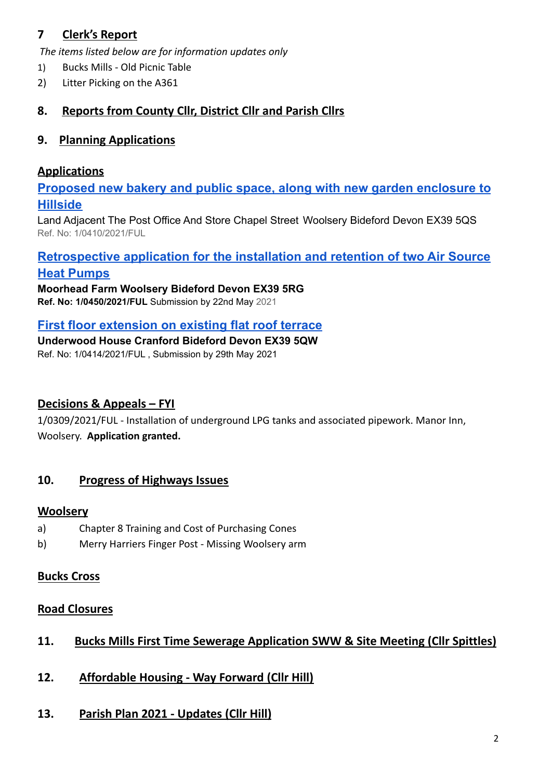# **7 Clerk's Report**

*The items listed below are for information updates only*

- 1) Bucks Mills Old Picnic Table
- 2) Litter Picking on the A361

# **8. Reports from County Cllr, District Cllr and Parish Cllrs**

#### **9. Planning Applications**

#### **Applications**

**[Proposed new bakery and public space, along with new](https://publicaccess.torridge.gov.uk/online-applications/applicationDetails.do?activeTab=summary&keyVal=QRGHZGQKMJN00&prevPage=inTray) garden enclosure to [Hillside](https://publicaccess.torridge.gov.uk/online-applications/applicationDetails.do?activeTab=summary&keyVal=QRGHZGQKMJN00&prevPage=inTray)**

Land Adjacent The Post Office And Store Chapel Street Woolsery Bideford Devon EX39 5QS Ref. No: 1/0410/2021/FUL

# **[Retrospective application for the installation and](https://publicaccess.torridge.gov.uk/online-applications/applicationDetails.do?activeTab=summary&keyVal=QRX5XOQKMOJ00&prevPage=inTray) retention of two Air Source [Heat Pumps](https://publicaccess.torridge.gov.uk/online-applications/applicationDetails.do?activeTab=summary&keyVal=QRX5XOQKMOJ00&prevPage=inTray)**

**Moorhead Farm Woolsery Bideford Devon EX39 5RG Ref. No: 1/0450/2021/FUL** Submission by 22nd May 2021

#### **[First floor extension on existing flat roof terrace](https://publicaccess.torridge.gov.uk/online-applications/applicationDetails.do?activeTab=summary&keyVal=QRHNFKQKMJS00&prevPage=inTray)**

**Underwood House Cranford Bideford Devon EX39 5QW** Ref. No: 1/0414/2021/FUL , Submission by 29th May 2021

#### **Decisions & Appeals – FYI**

1/0309/2021/FUL - Installation of underground LPG tanks and associated pipework. Manor Inn, Woolsery. **Application granted.**

#### **10. Progress of Highways Issues**

#### **Woolsery**

- a) Chapter 8 Training and Cost of Purchasing Cones
- b) Merry Harriers Finger Post Missing Woolsery arm

#### **Bucks Cross**

# **Road Closures**

# **11. Bucks Mills First Time Sewerage Application SWW & Site Meeting (Cllr Spittles)**

- **12. Affordable Housing - Way Forward (Cllr Hill)**
- **13. Parish Plan 2021 - Updates (Cllr Hill)**